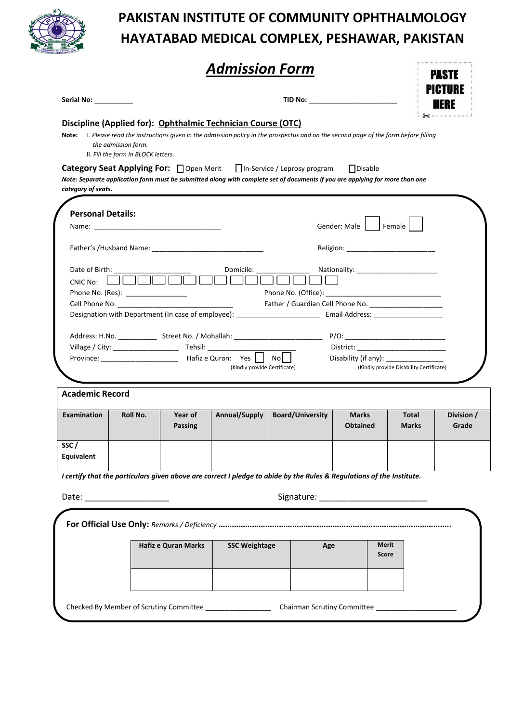

## **PAKISTAN INSTITUTE OF COMMUNITY OPHTHALMOLOGY HAYATABAD MEDICAL COMPLEX, PESHAWAR, PAKISTAN**

|                              |                                                            |                     |                                                              |                                                                                                                                                                                                                                                                                                                                                     |                                        |                                         | PASTE<br>PICTURE |
|------------------------------|------------------------------------------------------------|---------------------|--------------------------------------------------------------|-----------------------------------------------------------------------------------------------------------------------------------------------------------------------------------------------------------------------------------------------------------------------------------------------------------------------------------------------------|----------------------------------------|-----------------------------------------|------------------|
| Serial No: <b>Serial No:</b> |                                                            |                     |                                                              | TID No: _________________________                                                                                                                                                                                                                                                                                                                   |                                        |                                         |                  |
| Note:                        | the admission form.<br>II. Fill the form in BLOCK letters. |                     | Discipline (Applied for): Ophthalmic Technician Course (OTC) | I. Please read the instructions given in the admission policy in the prospectus and on the second page of the form before filling<br><b>Category Seat Applying For:</b> □ Open Merit □ In-Service / Leprosy program<br>Note: Separate application form must be submitted along with complete set of documents if you are applying for more than one | $\Box$ Disable                         |                                         |                  |
| category of seats.           |                                                            |                     |                                                              |                                                                                                                                                                                                                                                                                                                                                     |                                        |                                         |                  |
| <b>Personal Details:</b>     |                                                            |                     |                                                              |                                                                                                                                                                                                                                                                                                                                                     |                                        |                                         |                  |
|                              |                                                            |                     |                                                              |                                                                                                                                                                                                                                                                                                                                                     | Gender: Male   Female                  |                                         |                  |
|                              |                                                            |                     |                                                              | Religion: ___________________________                                                                                                                                                                                                                                                                                                               |                                        |                                         |                  |
| Date of Birth:               |                                                            |                     | Domicile:                                                    |                                                                                                                                                                                                                                                                                                                                                     | Nationality: _________________________ |                                         |                  |
| $CNIC$ No: $\Box$            |                                                            |                     |                                                              |                                                                                                                                                                                                                                                                                                                                                     |                                        |                                         |                  |
|                              | Phone No. (Res): _________________                         |                     |                                                              |                                                                                                                                                                                                                                                                                                                                                     |                                        |                                         |                  |
|                              |                                                            |                     |                                                              |                                                                                                                                                                                                                                                                                                                                                     |                                        |                                         |                  |
|                              |                                                            |                     |                                                              | Designation with Department (In case of employee): ______________________________ Email Address: ___________________                                                                                                                                                                                                                                |                                        |                                         |                  |
|                              |                                                            |                     |                                                              |                                                                                                                                                                                                                                                                                                                                                     |                                        |                                         |                  |
|                              |                                                            |                     |                                                              |                                                                                                                                                                                                                                                                                                                                                     |                                        |                                         |                  |
|                              |                                                            |                     |                                                              | Address: H.No. _________________Street No. / Mohallah: _________________________                                                                                                                                                                                                                                                                    |                                        |                                         |                  |
|                              |                                                            |                     |                                                              |                                                                                                                                                                                                                                                                                                                                                     |                                        |                                         |                  |
|                              |                                                            |                     | (Kindly provide Certificate)                                 |                                                                                                                                                                                                                                                                                                                                                     | Disability (if any):                   | (Kindly provide Disability Certificate) |                  |
|                              |                                                            |                     |                                                              |                                                                                                                                                                                                                                                                                                                                                     |                                        |                                         |                  |
| <b>Academic Record</b>       |                                                            |                     |                                                              |                                                                                                                                                                                                                                                                                                                                                     |                                        |                                         |                  |
| <b>Examination</b>           | Roll No.                                                   | Year of             | Annual/Supply                                                | <b>Board/University</b>                                                                                                                                                                                                                                                                                                                             | <b>Marks</b>                           | Total                                   | Division /       |
|                              |                                                            | <b>Passing</b>      |                                                              |                                                                                                                                                                                                                                                                                                                                                     | <b>Obtained</b>                        | <b>Marks</b>                            | Grade            |
|                              |                                                            |                     |                                                              |                                                                                                                                                                                                                                                                                                                                                     |                                        |                                         |                  |
| SSC/                         |                                                            |                     |                                                              |                                                                                                                                                                                                                                                                                                                                                     |                                        |                                         |                  |
| Equivalent                   |                                                            |                     |                                                              |                                                                                                                                                                                                                                                                                                                                                     |                                        |                                         |                  |
|                              |                                                            |                     |                                                              | I certify that the particulars given above are correct I pledge to abide by the Rules & Regulations of the Institute.                                                                                                                                                                                                                               |                                        |                                         |                  |
|                              |                                                            |                     |                                                              |                                                                                                                                                                                                                                                                                                                                                     |                                        |                                         |                  |
| Date: ______________________ |                                                            |                     |                                                              |                                                                                                                                                                                                                                                                                                                                                     |                                        |                                         |                  |
|                              |                                                            |                     |                                                              |                                                                                                                                                                                                                                                                                                                                                     |                                        |                                         |                  |
|                              |                                                            |                     |                                                              |                                                                                                                                                                                                                                                                                                                                                     |                                        |                                         |                  |
|                              |                                                            | Hafiz e Quran Marks | <b>SSC Weightage</b>                                         | Age                                                                                                                                                                                                                                                                                                                                                 |                                        | Merit                                   |                  |
|                              |                                                            |                     |                                                              |                                                                                                                                                                                                                                                                                                                                                     |                                        | <b>Score</b>                            |                  |
|                              |                                                            |                     |                                                              |                                                                                                                                                                                                                                                                                                                                                     |                                        |                                         |                  |
|                              |                                                            |                     |                                                              |                                                                                                                                                                                                                                                                                                                                                     |                                        |                                         |                  |